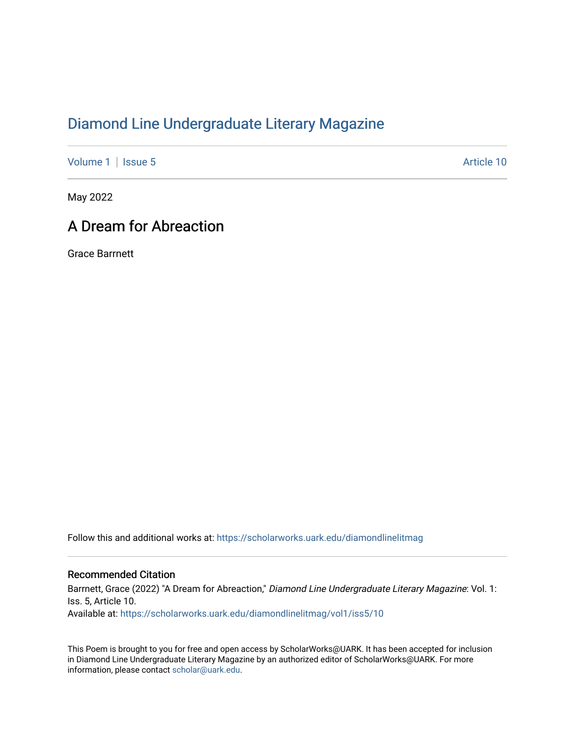## [Diamond Line Undergraduate Literary Magazine](https://scholarworks.uark.edu/diamondlinelitmag)

[Volume 1](https://scholarworks.uark.edu/diamondlinelitmag/vol1) | [Issue 5](https://scholarworks.uark.edu/diamondlinelitmag/vol1/iss5) Article 10

May 2022

## A Dream for Abreaction

Grace Barrnett

Follow this and additional works at: [https://scholarworks.uark.edu/diamondlinelitmag](https://scholarworks.uark.edu/diamondlinelitmag?utm_source=scholarworks.uark.edu%2Fdiamondlinelitmag%2Fvol1%2Fiss5%2F10&utm_medium=PDF&utm_campaign=PDFCoverPages) 

## Recommended Citation

Barrnett, Grace (2022) "A Dream for Abreaction," Diamond Line Undergraduate Literary Magazine: Vol. 1: Iss. 5, Article 10. Available at: [https://scholarworks.uark.edu/diamondlinelitmag/vol1/iss5/10](https://scholarworks.uark.edu/diamondlinelitmag/vol1/iss5/10?utm_source=scholarworks.uark.edu%2Fdiamondlinelitmag%2Fvol1%2Fiss5%2F10&utm_medium=PDF&utm_campaign=PDFCoverPages) 

This Poem is brought to you for free and open access by ScholarWorks@UARK. It has been accepted for inclusion in Diamond Line Undergraduate Literary Magazine by an authorized editor of ScholarWorks@UARK. For more information, please contact [scholar@uark.edu.](mailto:scholar@uark.edu)